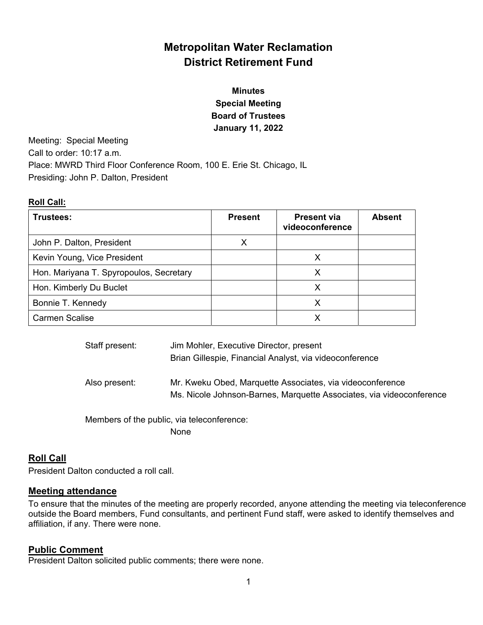# **Metropolitan Water Reclamation District Retirement Fund**

# **Minutes Special Meeting Board of Trustees January 11, 2022**

Meeting: Special Meeting Call to order: 10:17 a.m. Place: MWRD Third Floor Conference Room, 100 E. Erie St. Chicago, IL Presiding: John P. Dalton, President

#### **Roll Call:**

| Trustees:                               | <b>Present</b> | <b>Present via</b><br>videoconference | <b>Absent</b> |
|-----------------------------------------|----------------|---------------------------------------|---------------|
| John P. Dalton, President               | X              |                                       |               |
| Kevin Young, Vice President             |                |                                       |               |
| Hon. Mariyana T. Spyropoulos, Secretary |                | х                                     |               |
| Hon. Kimberly Du Buclet                 |                |                                       |               |
| Bonnie T. Kennedy                       |                | x                                     |               |
| <b>Carmen Scalise</b>                   |                |                                       |               |

| Staff present: | Jim Mohler, Executive Director, present<br>Brian Gillespie, Financial Analyst, via videoconference                                |
|----------------|-----------------------------------------------------------------------------------------------------------------------------------|
| Also present:  | Mr. Kweku Obed, Marquette Associates, via videoconference<br>Ms. Nicole Johnson-Barnes, Marquette Associates, via videoconference |

 Members of the public, via teleconference: None

## **Roll Call**

President Dalton conducted a roll call.

### **Meeting attendance**

To ensure that the minutes of the meeting are properly recorded, anyone attending the meeting via teleconference outside the Board members, Fund consultants, and pertinent Fund staff, were asked to identify themselves and affiliation, if any. There were none.

### **Public Comment**

President Dalton solicited public comments; there were none.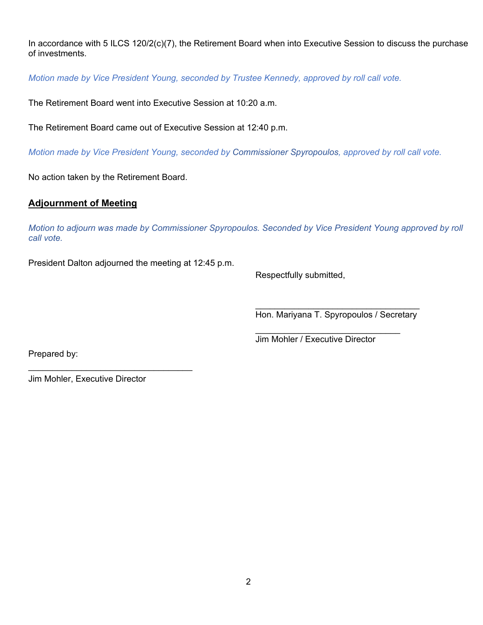In accordance with 5 ILCS 120/2(c)(7), the Retirement Board when into Executive Session to discuss the purchase of investments.

*Motion made by Vice President Young, seconded by Trustee Kennedy, approved by roll call vote.* 

The Retirement Board went into Executive Session at 10:20 a.m.

The Retirement Board came out of Executive Session at 12:40 p.m.

*Motion made by Vice President Young, seconded by Commissioner Spyropoulos, approved by roll call vote.* 

No action taken by the Retirement Board.

### **Adjournment of Meeting**

*Motion to adjourn was made by Commissioner Spyropoulos. Seconded by Vice President Young approved by roll call vote.* 

 $\mathcal{L}_\text{max}$  and  $\mathcal{L}_\text{max}$  and  $\mathcal{L}_\text{max}$  and  $\mathcal{L}_\text{max}$  and  $\mathcal{L}_\text{max}$  and  $\mathcal{L}_\text{max}$ 

President Dalton adjourned the meeting at 12:45 p.m.

Respectfully submitted,

Hon. Mariyana T. Spyropoulos / Secretary

Jim Mohler / Executive Director

Prepared by:

Jim Mohler, Executive Director

 $\mathcal{L}_\text{max}$  , where  $\mathcal{L}_\text{max}$  and  $\mathcal{L}_\text{max}$  and  $\mathcal{L}_\text{max}$